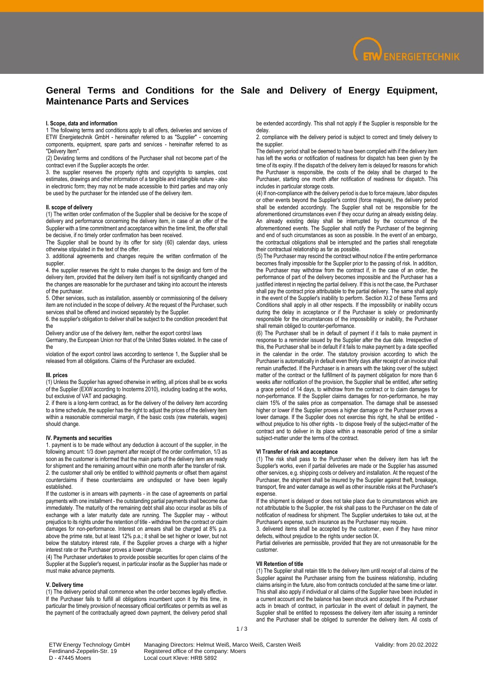

# **General Terms and Conditions for the Sale and Delivery of Energy Equipment, Maintenance Parts and Services**

## **I. Scope, data and information**

1 The following terms and conditions apply to all offers, deliveries and services of ETW Energietechnik GmbH - hereinafter referred to as "Supplier" - concerning components, equipment, spare parts and services - hereinafter referred to as "Delivery Item".

(2) Deviating terms and conditions of the Purchaser shall not become part of the contract even if the Supplier accepts the order.

3. the supplier reserves the property rights and copyrights to samples, cost estimates, drawings and other information of a tangible and intangible nature - also in electronic form; they may not be made accessible to third parties and may only be used by the purchaser for the intended use of the delivery item.

## **II. scope of delivery**

(1) The written order confirmation of the Supplier shall be decisive for the scope of delivery and performance concerning the delivery item, in case of an offer of the Supplier with a time commitment and acceptance within the time limit, the offer shall be decisive, if no timely order confirmation has been received.

The Supplier shall be bound by its offer for sixty (60) calendar days, unless otherwise stipulated in the text of the offer.

3. additional agreements and changes require the written confirmation of the supplier.

4. the supplier reserves the right to make changes to the design and form of the delivery item, provided that the delivery item itself is not significantly changed and the changes are reasonable for the purchaser and taking into account the interests of the purchaser.

5. Other services, such as installation, assembly or commissioning of the delivery item are not included in the scope of delivery. At the request of the Purchaser, such services shall be offered and invoiced separately by the Supplier.

6. the supplier's obligation to deliver shall be subject to the condition precedent that the

Delivery and/or use of the delivery item, neither the export control laws

Germany, the European Union nor that of the United States violated. In the case of the

violation of the export control laws according to sentence 1, the Supplier shall be released from all obligations. Claims of the Purchaser are excluded.

#### **III. prices**

(1) Unless the Supplier has agreed otherwise in writing, all prices shall be ex works of the Supplier (EXW according to Incoterms 2010), including loading at the works, but exclusive of VAT and packaging.

2. if there is a long-term contract, as for the delivery of the delivery item according to a time schedule, the supplier has the right to adjust the prices of the delivery item within a reasonable commercial margin, if the basic costs (raw materials, wages) should change.

#### **IV. Payments and securities**

1. payment is to be made without any deduction à account of the supplier, in the following amount: 1/3 down payment after receipt of the order confirmation, 1/3 as soon as the customer is informed that the main parts of the delivery item are ready for shipment and the remaining amount within one month after the transfer of risk. 2. the customer shall only be entitled to withhold payments or offset them against counterclaims if these counterclaims are undisputed or have been legally established.

If the customer is in arrears with payments - in the case of agreements on partial payments with one installment - the outstanding partial payments shall become due immediately. The maturity of the remaining debt shall also occur insofar as bills of exchange with a later maturity date are running. The Supplier may - without prejudice to its rights under the retention of title - withdraw from the contract or claim damages for non-performance. Interest on arrears shall be charged at 8% p.a. above the prime rate, but at least 12% p.a.; it shall be set higher or lower, but not below the statutory interest rate, if the Supplier proves a charge with a higher interest rate or the Purchaser proves a lower charge.

(4) The Purchaser undertakes to provide possible securities for open claims of the Supplier at the Supplier's request, in particular insofar as the Supplier has made or must make advance payments.

#### **V. Delivery time**

(1) The delivery period shall commence when the order becomes legally effective. If the Purchaser fails to fulfill all obligations incumbent upon it by this time, in particular the timely provision of necessary official certificates or permits as well as the payment of the contractually agreed down payment, the delivery period shall

be extended accordingly. This shall not apply if the Supplier is responsible for the delay.

2. compliance with the delivery period is subject to correct and timely delivery to the supplier.

The delivery period shall be deemed to have been complied with if the delivery item has left the works or notification of readiness for dispatch has been given by the time of its expiry. If the dispatch of the delivery item is delayed for reasons for which the Purchaser is responsible, the costs of the delay shall be charged to the Purchaser, starting one month after notification of readiness for dispatch. This includes in particular storage costs.

(4) If non-compliance with the delivery period is due to force majeure, labor disputes or other events beyond the Supplier's control (force majeure), the delivery period shall be extended accordingly. The Supplier shall not be responsible for the aforementioned circumstances even if they occur during an already existing delay. An already existing delay shall be interrupted by the occurrence of the aforementioned events. The Supplier shall notify the Purchaser of the beginning and end of such circumstances as soon as possible. In the event of an embargo, the contractual obligations shall be interrupted and the parties shall renegotiate their contractual relationship as far as possible.

(5) The Purchaser may rescind the contract without notice if the entire performance becomes finally impossible for the Supplier prior to the passing of risk. In addition, the Purchaser may withdraw from the contract if, in the case of an order, the performance of part of the delivery becomes impossible and the Purchaser has a justified interest in rejecting the partial delivery. If this is not the case, the Purchaser shall pay the contract price attributable to the partial delivery. The same shall apply in the event of the Supplier's inability to perform. Section XI.2 of these Terms and Conditions shall apply in all other respects. If the impossibility or inability occurs during the delay in acceptance or if the Purchaser is solely or predominantly responsible for the circumstances of the impossibility or inability, the Purchaser shall remain obliged to counter-performance.

(6) The Purchaser shall be in default of payment if it fails to make payment in response to a reminder issued by the Supplier after the due date. Irrespective of this, the Purchaser shall be in default if it fails to make payment by a date specified in the calendar in the order. The statutory provision according to which the Purchaser is automatically in default even thirty days after receipt of an invoice shall remain unaffected. If the Purchaser is in arrears with the taking over of the subject matter of the contract or the fulfillment of its payment obligation for more than 6 weeks after notification of the provision, the Supplier shall be entitled, after setting a grace period of 14 days, to withdraw from the contract or to claim damages for non-performance. If the Supplier claims damages for non-performance, he may claim 15% of the sales price as compensation. The damage shall be assessed higher or lower if the Supplier proves a higher damage or the Purchaser proves a lower damage. If the Supplier does not exercise this right, he shall be entitled without prejudice to his other rights - to dispose freely of the subject-matter of the contract and to deliver in its place within a reasonable period of time a similar subject-matter under the terms of the contract.

## **VI Transfer of risk and acceptance**

(1) The risk shall pass to the Purchaser when the delivery item has left the Supplier's works, even if partial deliveries are made or the Supplier has assumed other services, e.g. shipping costs or delivery and installation. At the request of the Purchaser, the shipment shall be insured by the Supplier against theft, breakage, transport, fire and water damage as well as other insurable risks at the Purchaser's expense.

If the shipment is delayed or does not take place due to circumstances which are not attributable to the Supplier, the risk shall pass to the Purchaser on the date of notification of readiness for shipment. The Supplier undertakes to take out, at the Purchaser's expense, such insurance as the Purchaser may require.

3. delivered items shall be accepted by the customer, even if they have minor defects, without prejudice to the rights under section IX.

Partial deliveries are permissible, provided that they are not unreasonable for the customer.

### **VII Retention of title**

(1) The Supplier shall retain title to the delivery item until receipt of all claims of the Supplier against the Purchaser arising from the business relationship, including claims arising in the future, also from contracts concluded at the same time or later. This shall also apply if individual or all claims of the Supplier have been included in a current account and the balance has been struck and accepted. If the Purchaser acts in breach of contract, in particular in the event of default in payment, the Supplier shall be entitled to repossess the delivery item after issuing a reminder and the Purchaser shall be obliged to surrender the delivery item. All costs of

D - 47445 Moers Local court Kleve: HRB 5892

ETW Energy Technology GmbH Managing Directors: Helmut Weiß, Marco Weiß, Carsten Weiß<br>
Ferdinand-Zeppelin-Str. 19 Registered office of the company: Moers<br>
D - 47445 Moers Local court Kleve: HRB 5892 Ferdinand-Zeppelin-Str. 19 Registered office of the company: Moers

1 / 3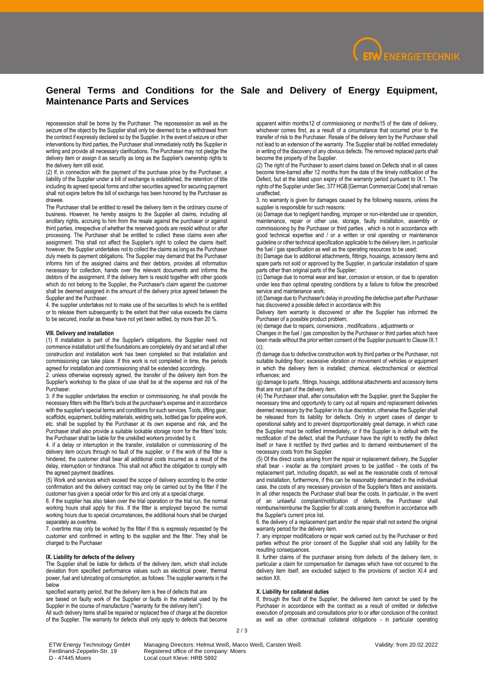

# **General Terms and Conditions for the Sale and Delivery of Energy Equipment, Maintenance Parts and Services**

repossession shall be borne by the Purchaser. The repossession as well as the seizure of the object by the Supplier shall only be deemed to be a withdrawal from the contract if expressly declared so by the Supplier. In the event of seizure or other interventions by third parties, the Purchaser shall immediately notify the Supplier in writing and provide all necessary clarifications. The Purchaser may not pledge the delivery item or assign it as security as long as the Supplier's ownership rights to the delivery item still exist.

(2) If, in connection with the payment of the purchase price by the Purchaser, a liability of the Supplier under a bill of exchange is established, the retention of title including its agreed special forms and other securities agreed for securing payment shall not expire before the bill of exchange has been honored by the Purchaser as drawee.

The Purchaser shall be entitled to resell the delivery item in the ordinary course of business. However, he hereby assigns to the Supplier all claims, including all ancillary rights, accruing to him from the resale against the purchaser or against third parties, irrespective of whether the reserved goods are resold without or after processing. The Purchaser shall be entitled to collect these claims even after assignment. This shall not affect the Supplier's right to collect the claims itself; however, the Supplier undertakes not to collect the claims as long as the Purchaser duly meets its payment obligations. The Supplier may demand that the Purchaser informs him of the assigned claims and their debtors, provides all information necessary for collection, hands over the relevant documents and informs the debtors of the assignment. If the delivery item is resold together with other goods which do not belong to the Supplier, the Purchaser's claim against the customer shall be deemed assigned in the amount of the delivery price agreed between the Supplier and the Purchaser.

4. the supplier undertakes not to make use of the securities to which he is entitled or to release them subsequently to the extent that their value exceeds the claims to be secured, insofar as these have not yet been settled, by more than 20 %.

## **VIII. Delivery and installation**

(1) If installation is part of the Supplier's obligations, the Supplier need not commence installation until the foundations are completely dry and set and all other construction and installation work has been completed so that installation and commissioning can take place. If this work is not completed in time, the periods agreed for installation and commissioning shall be extended accordingly.

2. unless otherwise expressly agreed, the transfer of the delivery item from the Supplier's workshop to the place of use shall be at the expense and risk of the Purchaser.

3. if the supplier undertakes the erection or commissioning, he shall provide the necessary fitters with the fitter's tools at the purchaser's expense and in accordance with the supplier's special terms and conditions for such services. Tools, lifting gear, scaffolds, equipment, building materials, welding sets, bottled gas for pipeline work, etc. shall be supplied by the Purchaser at its own expense and risk, and the Purchaser shall also provide a suitable lockable storage room for the fitters' tools; the Purchaser shall be liable for the unskilled workers provided by it.

4. if a delay or interruption in the transfer, installation or commissioning of the delivery item occurs through no fault of the supplier, or if the work of the fitter is hindered, the customer shall bear all additional costs incurred as a result of the delay, interruption or hindrance. This shall not affect the obligation to comply with the agreed payment deadlines.

(5) Work and services which exceed the scope of delivery according to the order confirmation and the delivery contract may only be carried out by the fitter if the customer has given a special order for this and only at a special charge.

6. if the supplier has also taken over the trial operation or the trial run, the normal working hours shall apply for this. If the fitter is employed beyond the normal working hours due to special circumstances, the additional hours shall be charged separately as overtime.

7. overtime may only be worked by the fitter if this is expressly requested by the customer and confirmed in writing to the supplier and the fitter. They shall be charged to the Purchaser

## **IX. Liability for defects of the delivery**

The Supplier shall be liable for defects of the delivery item, which shall include deviation from specified performance values such as electrical power, thermal power, fuel and lubricating oil consumption, as follows: The supplier warrants in the .<br>below

specified warranty period, that the delivery item is free of defects that are are based on faulty work of the Supplier or faults in the material used by the Supplier in the course of manufacture ("warranty for the delivery item"):

All such delivery items shall be repaired or replaced free of charge at the discretion of the Supplier. The warranty for defects shall only apply to defects that become

apparent within months12 of commissioning or months15 of the date of delivery, whichever comes first, as a result of a circumstance that occurred prior to the transfer of risk to the Purchaser. Resale of the delivery item by the Purchaser shall not lead to an extension of the warranty. The Supplier shall be notified immediately in writing of the discovery of any obvious defects. The removed replaced parts shall become the property of the Supplier.

(2) The right of the Purchaser to assert claims based on Defects shall in all cases become time-barred after 12 months from the date of the timely notification of the Defect, but at the latest upon expiry of the warranty period pursuant to IX.1. The rights of the Supplier under Sec. 377 HGB [German Commercial Code] shall remain unaffected.

3. no warranty is given for damages caused by the following reasons, unless the supplier is responsible for such reasons:

(a) Damage due to negligent handling, improper or non-intended use or operation, maintenance, repair or other use, storage, faulty installation, assembly or commissioning by the Purchaser or third parties , which is not in accordance with good technical expertise and / or a written or oral operating or maintenance guideline or other technical specification applicable to the delivery item, in particular the fuel / gas specification as well as the operating resources to be used;

(b) Damage due to additional attachments, fittings, housings, accessory items and spare parts not sold or approved by the Supplier, in particular installation of spare parts other than original parts of the Supplier;

(c) Damage due to normal wear and tear, corrosion or erosion, or due to operation under less than optimal operating conditions by a failure to follow the prescribed service and maintenance work;

(d) Damage due to Purchaser's delay in providing the defective part after Purchaser has discovered a possible defect in accordance with this

Delivery item warranty is discovered or after the Supplier has informed the Purchaser of a possible product problem;

(e) damage due to repairs, conversions , modifications , adjustments or

Changes in the fuel / gas composition by the Purchaser or third parties which have been made without the prior written consent of the Supplier pursuant to Clause IX.1  $(c)$ 

(f) damage due to defective construction work by third parties or the Purchaser, not suitable building floor; excessive vibration or movement of vehicles or equipment in which the delivery item is installed; chemical, electrochemical or electrical influences; and

(g) damage to parts , fittings, housings, additional attachments and accessory items that are not part of the delivery item.

(4) The Purchaser shall, after consultation with the Supplier, grant the Supplier the necessary time and opportunity to carry out all repairs and replacement deliveries deemed necessary by the Supplier in its due discretion, otherwise the Supplier shall be released from its liability for defects. Only in urgent cases of danger to operational safety and to prevent disproportionately great damage, in which case the Supplier must be notified immediately, or if the Supplier is in default with the rectification of the defect, shall the Purchaser have the right to rectify the defect itself or have it rectified by third parties and to demand reimbursement of the necessary costs from the Supplier.

(5) Of the direct costs arising from the repair or replacement delivery, the Supplier shall bear - insofar as the complaint proves to be justified - the costs of the replacement part, including dispatch, as well as the reasonable costs of removal and installation, furthermore, if this can be reasonably demanded in the individual case, the costs of any necessary provision of the Supplier's fitters and assistants. In all other respects the Purchaser shall bear the costs. In particular, in the event of an unlawful complaint/notification of defects, the Purchaser shall reimburse/reimburse the Supplier for all costs arising therefrom in accordance with the Supplier's current price list.

6. the delivery of a replacement part and/or the repair shall not extend the original warranty period for the delivery item.

7. any improper modifications or repair work carried out by the Purchaser or third parties without the prior consent of the Supplier shall void any liability for the .<br>resulting consequences.

8. further claims of the purchaser arising from defects of the delivery item, in particular a claim for compensation for damages which have not occurred to the delivery item itself, are excluded subject to the provisions of section XI.4 and section XII

## **X. Liability for collateral duties**

If, through the fault of the Supplier, the delivered item cannot be used by the Purchaser in accordance with the contract as a result of omitted or defective execution of proposals and consultations prior to or after conclusion of the contract as well as other contractual collateral obligations - in particular operating

D - 47445 Moers Local court Kleve: HRB 5892

ETW Energy Technology GmbH Managing Directors: Helmut Weiß, Marco Weiß, Carsten Weiß<br>
Ferdinand-Zeppelin-Str. 19 Registered office of the company: Moers<br>
D - 47445 Moers Local court Kleve: HRB 5892 Ferdinand-Zeppelin-Str. 19 Registered office of the company: Moers

2 / 3